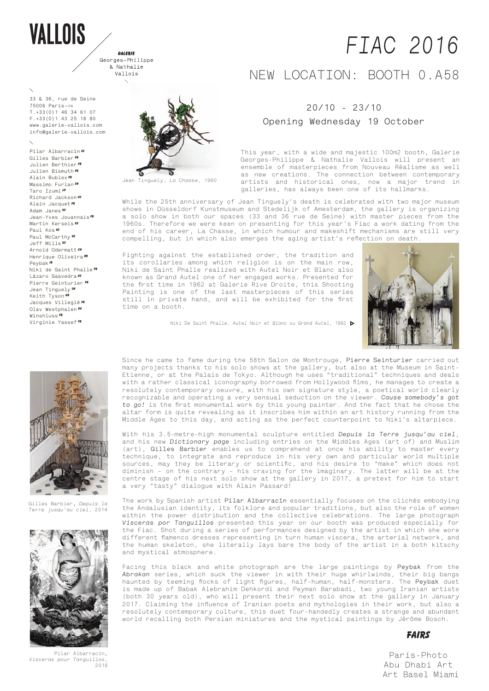# **VALLOIS**

GALERIE Georges-Philippe & Nathalie Vallois  $\mathbf{r}$ 

**33 & 36, rue de Seine 75006 Paris—fr T.+33(0)1 46 34 61 07 F.+33(0)1 43 25 18 80 www.galerie-vallois.com info@galerie-vallois.com**

**Pilar Albarracín ES Gilles Barbier FR Julien Berthier FR Julien Bismuth FR Alain Bublex FR Massimo Furlan CH Taro Izumi JP Richard Jackson US Alain Jacquet FR Adam Janes US Jean-Yves Jouannais FR Martin Kersels US Paul Kos US Paul McCarthy US Jeff Mills US Arnold Odermatt CH Henrique Oliveira BR Peybak ir Niki de Saint Phalle FR** Lázaro Saavedra*cu* **Pierre Seinturier FR Jean Tinguely ch Keith Tyson GB Jacques Villeglé FR Olav Westphalen De Winshluss FR Virginie Yassef FR**



Jean Tinguely, *La Chasse,* 1990

# *FIAC 2016*

# NEW LOCATION: BOOTH 0.A58

## **20/10 - 23/10**

## **Opening Wednesday 19 October**

This year, with a wide and majestic 100m2 booth, Galerie Georges-Philippe & Nathalie Vallois will present an ensemble of masterpieces from Nouveau Réalisme as well as new creations. The connection between contemporary artists and historical ones, now a major trend in galleries, has always been one of its hallmarks.

While the 25th anniversary of Jean Tinguely's death is celebrated with two major museum shows in Düsseldorf Kunstmuseum and Stedelijk of Amesterdam, the gallery is organizing a solo show in both our spaces (33 and 36 rue de Seine) with master pieces from the 1960s. Therefore we were keen on presenting for this year's Fiac a work dating from the end of his career, La Chasse, in which humour and makeshift mechanisms are still very compelling, but in which also emerges the aging artist's reflection on death.

Fighting against the established order, the tradition and its corollaries among which religion is on the main row, Niki de Saint Phalle realized with Autel Noir et Blanc also known as Grand Autel one of her engaged works. Presented for the first time in 1962 at Galerie Rive Droite, this Shooting Painting is one of the last masterpieces of this series still in private hand, and will be exhibited for the first time on a booth.

Niki De Saint Phalle, *Autel Noir et Blanc* ou *Grand Autel*, 1962





Since he came to fame during the 58th Salon de Montrouge, **Pierre Seinturier** carried out many projects thanks to his solo shows at the gallery, but also at the Museum in Saint-Etienne, or at the Palais de Tokyo. Although he uses "traditional" techniques and deals with a rather classical iconography borrowed from Hollywood films, he manages to create a resolutely contemporary oeuvre, with his own signature style, a poetical world clearly recognizable and operating a very sensual seduction on the viewer. *Cause somebody's got to go!* is the first monumental work by this young painter. And the fact that he chose the altar form is quite revealing as it inscribes him within an art history running from the Middle Ages to this day, and acting as the perfect counterpoint to Niki's altarpiece.

With his 3.5-metre-high monumental sculpture entitled *Depuis la Terre jusqu'au ciel*, and his new *Dictionary page* including entries on the Middles Ages (art of) and Muslim (art), **Gilles Barbier** enables us to comprehend at once his ability to master every technique, to integrate and reproduce in his very own and particular world multiple sources, may they be literary or scientific, and his desire to "make" which does not diminish – on the contrary – his craving for the imaginary. The latter will be at the centre stage of his next solo show at the gallery in 2017, a pretext for him to start a very "tasty" dialogue with Alain Passard!

The work by Spanish artist **Pilar Albarracín** essentially focuses on the clichés embodying the Andalusian identity, its folklore and popular traditions, but also the role of women within the power distribution and the collective celebrations. The large photograph *Visceras por Tanguillos* presented this year on our booth was produced especially for the Fiac. Shot during a series of performances designed by the artist in which she wore different flamenco dresses representing in turn human viscera, the arterial network, and the human skeleton, she literally lays bare the body of the artist in a both kitschy and mystical atmosphere.

Facing this black and white photograph are the large paintings by **Peybak** from the *Abrakan* series, which suck the viewer in with their huge whirlwinds, their big bangs haunted by teeming flocks of light figures, half-human, half-monsters. The **Peybak** duet is made up of Babak Alebrahim Dehkordi and Peyman Barabadi, two young Iranian artists (both 30 years old), who will present their next solo show at the gallery in January 2017. Claiming the influence of Iranian poets and mythologies in their work, but also a resolutely contemporary culture, this duet four-handedly creates a strange and abundant world recalling both Persian miniatures and the mystical paintings by Jérôme Bosch.

### **fAIRs**

Paris-Photo Abu Dhabi Art Art Basel Miami



Gilles Barbier**,** *Depuis la Terre jusqu'au ciel,* 2014



Pilar Albarracín**,**  *Visceras pour Tanguillos,*   $2016$